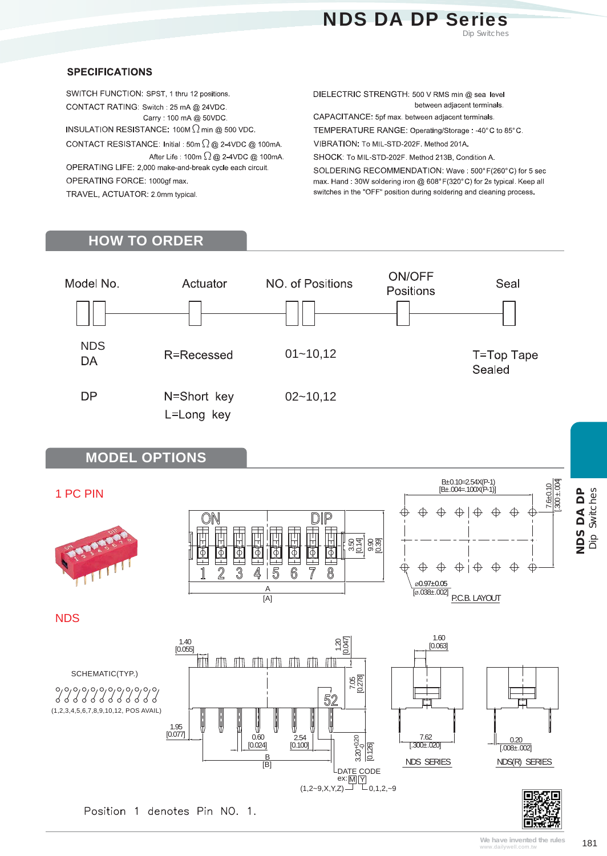

### **SPECIFICATIONS**

SWITCH FUNCTION: SPST, 1 thru 12 positions. CONTACT RATING: Switch: 25 mA @ 24VDC. Carry: 100 mA @ 50VDC. INSULATION RESISTANCE:  $100M \Omega$  min @ 500 VDC. CONTACT RESISTANCE: Initial: 50m  $\Omega$  @ 2-4VDC @ 100mA. After Life: 100m  $\Omega$  @ 2-4VDC @ 100mA. OPERATING LIFE: 2,000 make-and-break cycle each circuit. OPERATING FORCE: 1000gf max.

TRAVEL, ACTUATOR: 2.0mm typical.

DIELECTRIC STRENGTH: 500 V RMS min @ sea level between adjacent terminals.

CAPACITANCE: 5pf max. between adjacent terminals.

TEMPERATURE RANGE: Operating/Storage: -40°C to 85°C.

VIBRATION: To MIL-STD-202F. Method 201A.

SHOCK: To MIL-STD-202F. Method 213B, Condition A.

SOLDERING RECOMMENDATION: Wave: 500°F(260°C) for 5 sec max. Hand: 30W soldering iron @ 608°F(320°C) for 2s typical. Keep all switches in the "OFF" position during soldering and cleaning process.

## **HOW TO ORDER**



**MODEL OPTIONS**

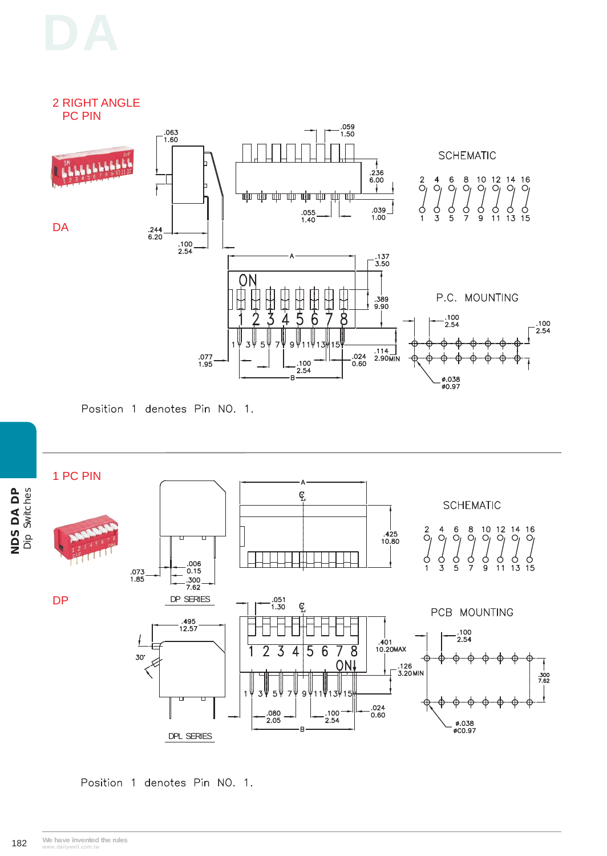# 2 RIGHT ANGLE